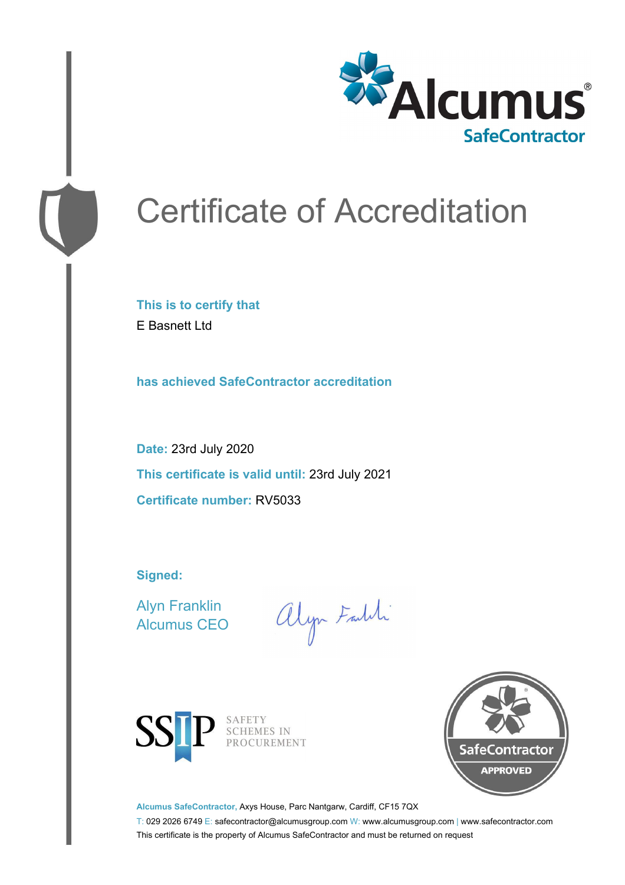

# Certificate of Accreditation

**This is to certify that** E Basnett Ltd

**has achieved SafeContractor accreditation**

**Date:** 23rd July 2020 **This certificate is valid until:** 23rd July 2021 **Certificate number:** RV5033

**Signed:**

Alyn Franklin Alcumus CEO

alyn Faith



SAFETY SCHEMES IN PROCUREMENT



**Alcumus SafeContractor,** Axys House, Parc Nantgarw, Cardiff, CF15 7QX

T: 029 2026 6749 E: safecontractor@alcumusgroup.com W: www.alcumusgroup.com | www.safecontractor.com This certificate is the property of Alcumus SafeContractor and must be returned on request